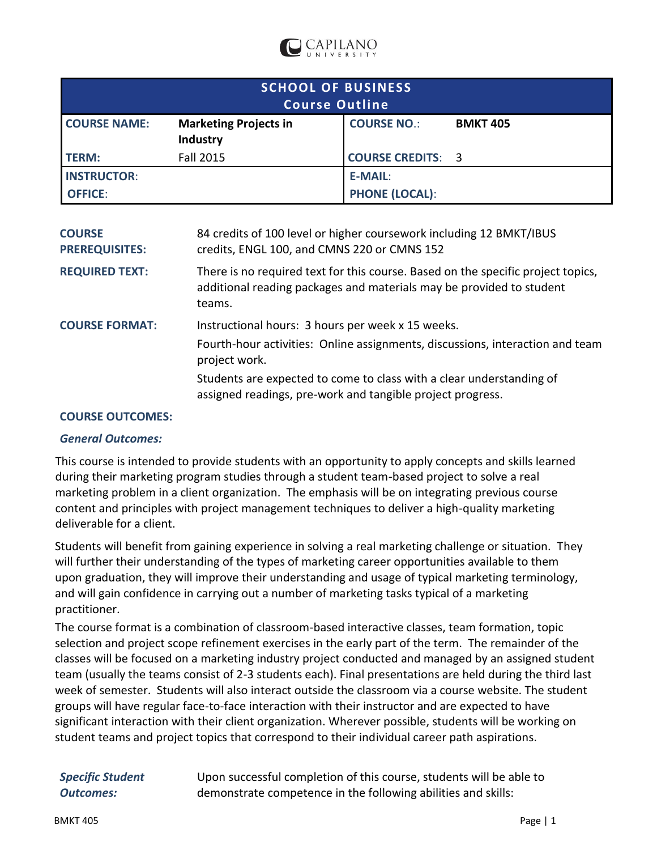

| <b>SCHOOL OF BUSINESS</b><br><b>Course Outline</b> |                                          |                          |                 |  |  |  |
|----------------------------------------------------|------------------------------------------|--------------------------|-----------------|--|--|--|
| <b>COURSE NAME:</b>                                | <b>Marketing Projects in</b><br>Industry | <b>COURSE NO.:</b>       | <b>BMKT 405</b> |  |  |  |
| <b>TERM:</b>                                       | Fall 2015                                | <b>COURSE CREDITS: 3</b> |                 |  |  |  |
| <b>INSTRUCTOR:</b>                                 |                                          | E-MAIL:                  |                 |  |  |  |
| <b>OFFICE:</b>                                     |                                          | <b>PHONE (LOCAL):</b>    |                 |  |  |  |

| <b>COURSE</b><br><b>PREREQUISITES:</b> | 84 credits of 100 level or higher coursework including 12 BMKT/IBUS<br>credits, ENGL 100, and CMNS 220 or CMNS 152                                                                                                                                                                        |
|----------------------------------------|-------------------------------------------------------------------------------------------------------------------------------------------------------------------------------------------------------------------------------------------------------------------------------------------|
| <b>REQUIRED TEXT:</b>                  | There is no required text for this course. Based on the specific project topics,<br>additional reading packages and materials may be provided to student<br>teams.                                                                                                                        |
| <b>COURSE FORMAT:</b>                  | Instructional hours: 3 hours per week x 15 weeks.<br>Fourth-hour activities: Online assignments, discussions, interaction and team<br>project work.<br>Students are expected to come to class with a clear understanding of<br>assigned readings, pre-work and tangible project progress. |

## **COURSE OUTCOMES:**

## *General Outcomes:*

This course is intended to provide students with an opportunity to apply concepts and skills learned during their marketing program studies through a student team-based project to solve a real marketing problem in a client organization. The emphasis will be on integrating previous course content and principles with project management techniques to deliver a high-quality marketing deliverable for a client.

Students will benefit from gaining experience in solving a real marketing challenge or situation. They will further their understanding of the types of marketing career opportunities available to them upon graduation, they will improve their understanding and usage of typical marketing terminology, and will gain confidence in carrying out a number of marketing tasks typical of a marketing practitioner.

The course format is a combination of classroom-based interactive classes, team formation, topic selection and project scope refinement exercises in the early part of the term. The remainder of the classes will be focused on a marketing industry project conducted and managed by an assigned student team (usually the teams consist of 2-3 students each). Final presentations are held during the third last week of semester. Students will also interact outside the classroom via a course website. The student groups will have regular face-to-face interaction with their instructor and are expected to have significant interaction with their client organization. Wherever possible, students will be working on student teams and project topics that correspond to their individual career path aspirations.

| Specific Student | Upon successful completion of this course, students will be able to |
|------------------|---------------------------------------------------------------------|
| Outcomes:        | demonstrate competence in the following abilities and skills:       |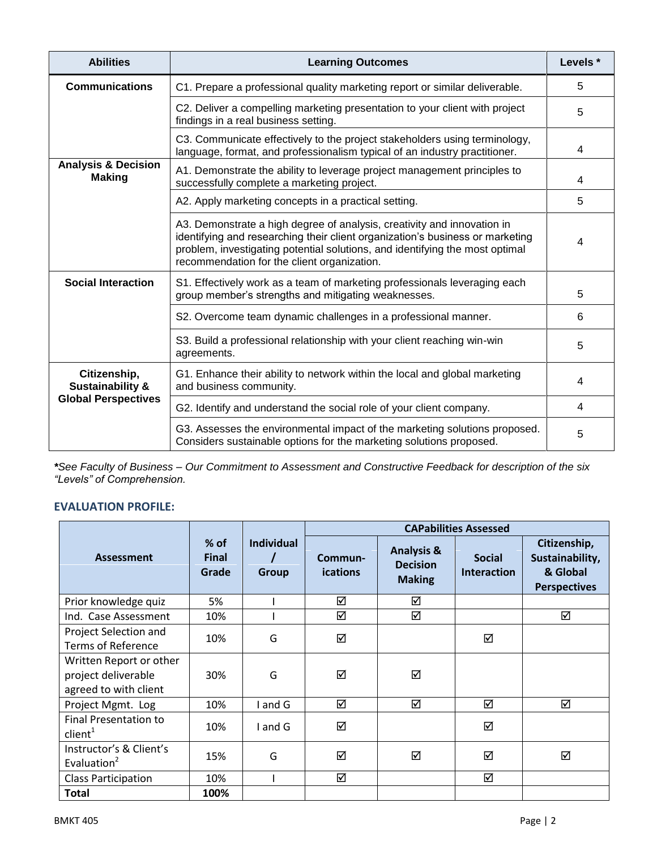| <b>Abilities</b>                                | <b>Learning Outcomes</b>                                                                                                                                                                                                                                                                |   |  |  |  |
|-------------------------------------------------|-----------------------------------------------------------------------------------------------------------------------------------------------------------------------------------------------------------------------------------------------------------------------------------------|---|--|--|--|
| <b>Communications</b>                           | C1. Prepare a professional quality marketing report or similar deliverable.                                                                                                                                                                                                             |   |  |  |  |
|                                                 | C2. Deliver a compelling marketing presentation to your client with project<br>findings in a real business setting.                                                                                                                                                                     |   |  |  |  |
|                                                 | C3. Communicate effectively to the project stakeholders using terminology,<br>language, format, and professionalism typical of an industry practitioner.                                                                                                                                | 4 |  |  |  |
| <b>Analysis &amp; Decision</b><br><b>Making</b> | A1. Demonstrate the ability to leverage project management principles to<br>successfully complete a marketing project.                                                                                                                                                                  | 4 |  |  |  |
|                                                 | A2. Apply marketing concepts in a practical setting.                                                                                                                                                                                                                                    | 5 |  |  |  |
|                                                 | A3. Demonstrate a high degree of analysis, creativity and innovation in<br>identifying and researching their client organization's business or marketing<br>problem, investigating potential solutions, and identifying the most optimal<br>recommendation for the client organization. | 4 |  |  |  |
| <b>Social Interaction</b>                       | S1. Effectively work as a team of marketing professionals leveraging each<br>group member's strengths and mitigating weaknesses.                                                                                                                                                        | 5 |  |  |  |
|                                                 | S2. Overcome team dynamic challenges in a professional manner.                                                                                                                                                                                                                          | 6 |  |  |  |
|                                                 | S3. Build a professional relationship with your client reaching win-win<br>agreements.                                                                                                                                                                                                  | 5 |  |  |  |
| Citizenship,<br><b>Sustainability &amp;</b>     | G1. Enhance their ability to network within the local and global marketing<br>and business community.                                                                                                                                                                                   |   |  |  |  |
| <b>Global Perspectives</b>                      | G2. Identify and understand the social role of your client company.                                                                                                                                                                                                                     |   |  |  |  |
|                                                 | G3. Assesses the environmental impact of the marketing solutions proposed.<br>Considers sustainable options for the marketing solutions proposed.                                                                                                                                       |   |  |  |  |

*\*See Faculty of Business – Our Commitment to Assessment and Constructive Feedback for description of the six "Levels" of Comprehension.*

# **EVALUATION PROFILE:**

|                                                                         |                                 |                                   | <b>CAPabilities Assessed</b> |                                                           |                                     |                                                                    |  |  |
|-------------------------------------------------------------------------|---------------------------------|-----------------------------------|------------------------------|-----------------------------------------------------------|-------------------------------------|--------------------------------------------------------------------|--|--|
| <b>Assessment</b>                                                       | $%$ of<br><b>Final</b><br>Grade | <b>Individual</b><br><b>Group</b> | Commun-<br><b>ications</b>   | <b>Analysis &amp;</b><br><b>Decision</b><br><b>Making</b> | <b>Social</b><br><b>Interaction</b> | Citizenship,<br>Sustainability,<br>& Global<br><b>Perspectives</b> |  |  |
| Prior knowledge quiz                                                    | 5%                              |                                   | ☑                            | ☑                                                         |                                     |                                                                    |  |  |
| Ind. Case Assessment                                                    | 10%                             |                                   | ☑                            | ☑                                                         |                                     | ☑                                                                  |  |  |
| Project Selection and<br><b>Terms of Reference</b>                      | 10%                             | G                                 | ☑                            |                                                           | ☑                                   |                                                                    |  |  |
| Written Report or other<br>project deliverable<br>agreed to with client | 30%                             | G                                 | ☑                            | ☑                                                         |                                     |                                                                    |  |  |
| Project Mgmt. Log                                                       | 10%                             | and G                             | ☑                            | ☑                                                         | ☑                                   | ☑                                                                  |  |  |
| <b>Final Presentation to</b><br>client <sup>1</sup>                     | 10%                             | I and G                           | ☑                            |                                                           | ☑                                   |                                                                    |  |  |
| Instructor's & Client's<br>Evaluation <sup>2</sup>                      | 15%                             | G                                 | ☑                            | ☑                                                         | ☑                                   | ☑                                                                  |  |  |
| <b>Class Participation</b>                                              | 10%                             |                                   | ☑                            |                                                           | ☑                                   |                                                                    |  |  |
| Total                                                                   | 100%                            |                                   |                              |                                                           |                                     |                                                                    |  |  |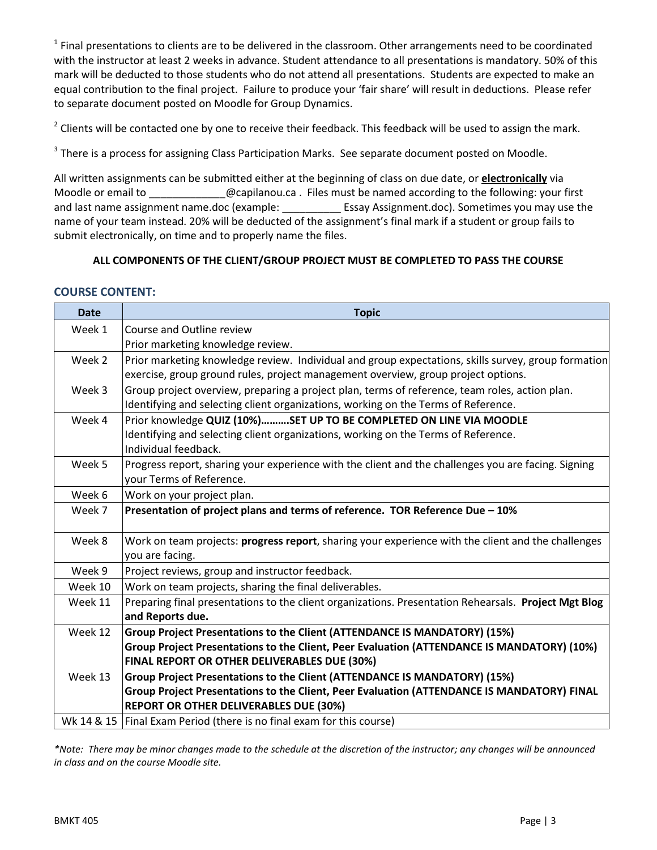$1$  Final presentations to clients are to be delivered in the classroom. Other arrangements need to be coordinated with the instructor at least 2 weeks in advance. Student attendance to all presentations is mandatory. 50% of this mark will be deducted to those students who do not attend all presentations. Students are expected to make an equal contribution to the final project. Failure to produce your 'fair share' will result in deductions. Please refer to separate document posted on Moodle for Group Dynamics.

 $2$  Clients will be contacted one by one to receive their feedback. This feedback will be used to assign the mark.

 $3$  There is a process for assigning Class Participation Marks. See separate document posted on Moodle.

All written assignments can be submitted either at the beginning of class on due date, or **electronically** via Moodle or email to \_\_\_\_\_\_\_\_\_\_\_\_\_\_@capilanou.ca . Files must be named according to the following: your first and last name assignment name.doc (example: Essay Assignment.doc). Sometimes you may use the name of your team instead. 20% will be deducted of the assignment's final mark if a student or group fails to submit electronically, on time and to properly name the files.

## **ALL COMPONENTS OF THE CLIENT/GROUP PROJECT MUST BE COMPLETED TO PASS THE COURSE**

## **COURSE CONTENT:**

| <b>Date</b> | <b>Topic</b>                                                                                                                                                                                                            |
|-------------|-------------------------------------------------------------------------------------------------------------------------------------------------------------------------------------------------------------------------|
| Week 1      | Course and Outline review<br>Prior marketing knowledge review.                                                                                                                                                          |
| Week 2      | Prior marketing knowledge review. Individual and group expectations, skills survey, group formation<br>exercise, group ground rules, project management overview, group project options.                                |
| Week 3      | Group project overview, preparing a project plan, terms of reference, team roles, action plan.<br>Identifying and selecting client organizations, working on the Terms of Reference.                                    |
| Week 4      | Prior knowledge QUIZ (10%)SET UP TO BE COMPLETED ON LINE VIA MOODLE<br>Identifying and selecting client organizations, working on the Terms of Reference.<br>Individual feedback.                                       |
| Week 5      | Progress report, sharing your experience with the client and the challenges you are facing. Signing<br>your Terms of Reference.                                                                                         |
| Week 6      | Work on your project plan.                                                                                                                                                                                              |
| Week 7      | Presentation of project plans and terms of reference. TOR Reference Due - 10%                                                                                                                                           |
| Week 8      | Work on team projects: <b>progress report</b> , sharing your experience with the client and the challenges<br>you are facing.                                                                                           |
| Week 9      | Project reviews, group and instructor feedback.                                                                                                                                                                         |
| Week 10     | Work on team projects, sharing the final deliverables.                                                                                                                                                                  |
| Week 11     | Preparing final presentations to the client organizations. Presentation Rehearsals. Project Mgt Blog<br>and Reports due.                                                                                                |
| Week 12     | Group Project Presentations to the Client (ATTENDANCE IS MANDATORY) (15%)<br>Group Project Presentations to the Client, Peer Evaluation (ATTENDANCE IS MANDATORY) (10%)<br>FINAL REPORT OR OTHER DELIVERABLES DUE (30%) |
| Week 13     | Group Project Presentations to the Client (ATTENDANCE IS MANDATORY) (15%)                                                                                                                                               |
|             | Group Project Presentations to the Client, Peer Evaluation (ATTENDANCE IS MANDATORY) FINAL                                                                                                                              |
|             | <b>REPORT OR OTHER DELIVERABLES DUE (30%)</b>                                                                                                                                                                           |
|             | Wk 14 & 15   Final Exam Period (there is no final exam for this course)                                                                                                                                                 |

*\*Note: There may be minor changes made to the schedule at the discretion of the instructor; any changes will be announced in class and on the course Moodle site.*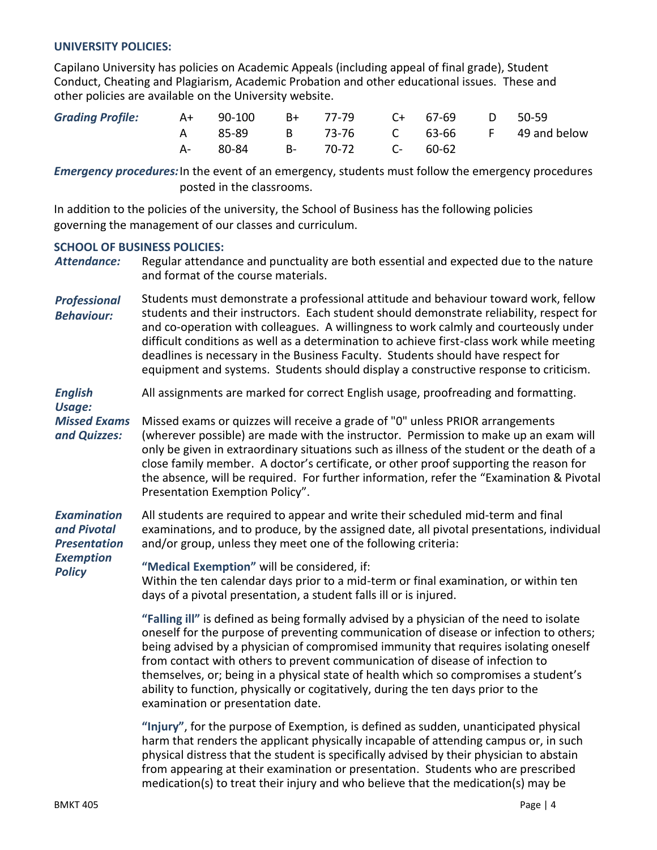## **UNIVERSITY POLICIES:**

Capilano University has policies on Academic Appeals (including appeal of final grade), Student Conduct, Cheating and Plagiarism, Academic Probation and other educational issues. These and other policies are available on the University website.

| Grading Profile: $A+$ 90-100 $B+$ 77-79 $C+$ 67-69 $D$ 50-59 |                            |  |  |                                        |
|--------------------------------------------------------------|----------------------------|--|--|----------------------------------------|
|                                                              |                            |  |  | A 85-89 B 73-76 C 63-66 F 49 and below |
|                                                              | A- 80-84 B- 70-72 C- 60-62 |  |  |                                        |

*Emergency procedures:*In the event of an emergency, students must follow the emergency procedures posted in the classrooms.

In addition to the policies of the university, the School of Business has the following policies governing the management of our classes and curriculum.

## **SCHOOL OF BUSINESS POLICIES:**

*Attendance:* Regular attendance and punctuality are both essential and expected due to the nature and format of the course materials.

*Professional Behaviour:* Students must demonstrate a professional attitude and behaviour toward work, fellow students and their instructors. Each student should demonstrate reliability, respect for and co-operation with colleagues. A willingness to work calmly and courteously under difficult conditions as well as a determination to achieve first-class work while meeting deadlines is necessary in the Business Faculty. Students should have respect for equipment and systems. Students should display a constructive response to criticism.

#### *English Usage:* All assignments are marked for correct English usage, proofreading and formatting.

*Missed Exams and Quizzes:* Missed exams or quizzes will receive a grade of "0" unless PRIOR arrangements (wherever possible) are made with the instructor. Permission to make up an exam will only be given in extraordinary situations such as illness of the student or the death of a close family member. A doctor's certificate, or other proof supporting the reason for the absence, will be required. For further information, refer the "Examination & Pivotal Presentation Exemption Policy".

*Examination and Pivotal Presentation*  All students are required to appear and write their scheduled mid-term and final examinations, and to produce, by the assigned date, all pivotal presentations, individual and/or group, unless they meet one of the following criteria:

#### *Exemption Policy* **"Medical Exemption"** will be considered, if:

Within the ten calendar days prior to a mid-term or final examination, or within ten days of a pivotal presentation, a student falls ill or is injured.

**"Falling ill"** is defined as being formally advised by a physician of the need to isolate oneself for the purpose of preventing communication of disease or infection to others; being advised by a physician of compromised immunity that requires isolating oneself from contact with others to prevent communication of disease of infection to themselves, or; being in a physical state of health which so compromises a student's ability to function, physically or cogitatively, during the ten days prior to the examination or presentation date.

**"Injury"**, for the purpose of Exemption, is defined as sudden, unanticipated physical harm that renders the applicant physically incapable of attending campus or, in such physical distress that the student is specifically advised by their physician to abstain from appearing at their examination or presentation. Students who are prescribed medication(s) to treat their injury and who believe that the medication(s) may be